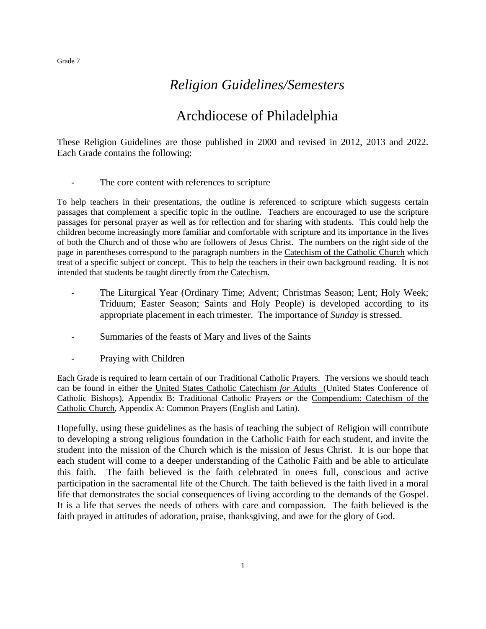# *Religion Guidelines/Semesters*

# Archdiocese of Philadelphia

These Religion Guidelines are those published in 2000 and revised in 2012, 2013 and 2022. Each Grade contains the following:

The core content with references to scripture

To help teachers in their presentations, the outline is referenced to scripture which suggests certain passages that complement a specific topic in the outline. Teachers are encouraged to use the scripture passages for personal prayer as well as for reflection and for sharing with students. This could help the children become increasingly more familiar and comfortable with scripture and its importance in the lives of both the Church and of those who are followers of Jesus Christ. The numbers on the right side of the page in parentheses correspond to the paragraph numbers in the Catechism of the Catholic Church which treat of a specific subject or concept. This to help the teachers in their own background reading. It is not intended that students be taught directly from the Catechism.

- The Liturgical Year (Ordinary Time; Advent; Christmas Season; Lent; Holy Week; Triduum; Easter Season; Saints and Holy People) is developed according to its appropriate placement in each trimester. The importance of *Sunday* is stressed.
- Summaries of the feasts of Mary and lives of the Saints
- Praying with Children

Each Grade is required to learn certain of our Traditional Catholic Prayers. The versions we should teach can be found in either the United States Catholic Catechism *for* Adults (United States Conference of Catholic Bishops), Appendix B: Traditional Catholic Prayers *or* the Compendium: Catechism of the Catholic Church, Appendix A: Common Prayers (English and Latin).

Hopefully, using these guidelines as the basis of teaching the subject of Religion will contribute to developing a strong religious foundation in the Catholic Faith for each student, and invite the student into the mission of the Church which is the mission of Jesus Christ. It is our hope that each student will come to a deeper understanding of the Catholic Faith and be able to articulate this faith. The faith believed is the faith celebrated in one=s full, conscious and active participation in the sacramental life of the Church. The faith believed is the faith lived in a moral life that demonstrates the social consequences of living according to the demands of the Gospel. It is a life that serves the needs of others with care and compassion. The faith believed is the faith prayed in attitudes of adoration, praise, thanksgiving, and awe for the glory of God.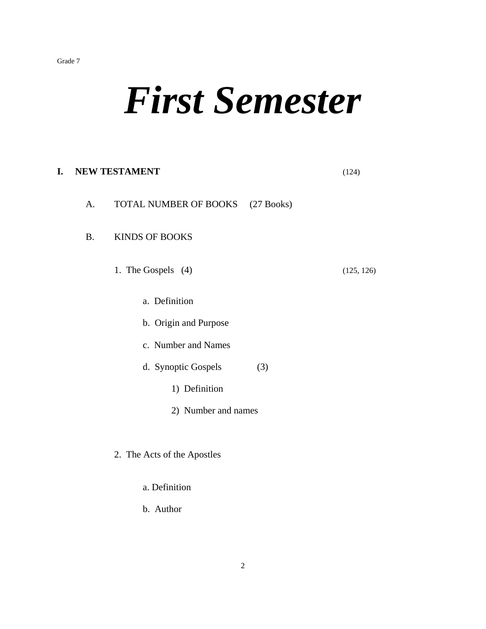# *First Semester*

# **I. NEW TESTAMENT** (124) A. TOTAL NUMBER OF BOOKS (27 Books) B. KINDS OF BOOKS 1. The Gospels (4) (125, 126) a. Definition b. Origin and Purpose c. Number and Names d. Synoptic Gospels (3) 1) Definition 2) Number and names 2. The Acts of the Apostles

- a. Definition
- b. Author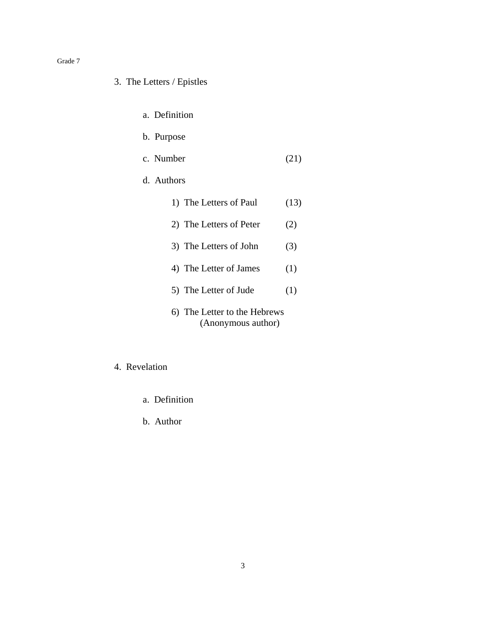#### 3. The Letters / Epistles

- a. Definition
- b. Purpose
- c. Number (21)
- d. Authors
	- 1) The Letters of Paul (13) 2) The Letters of Peter (2) 3) The Letters of John (3) 4) The Letter of James (1) 5) The Letter of Jude (1) 6) The Letter to the Hebrews (Anonymous author)

#### 4. Revelation

- a. Definition
- b. Author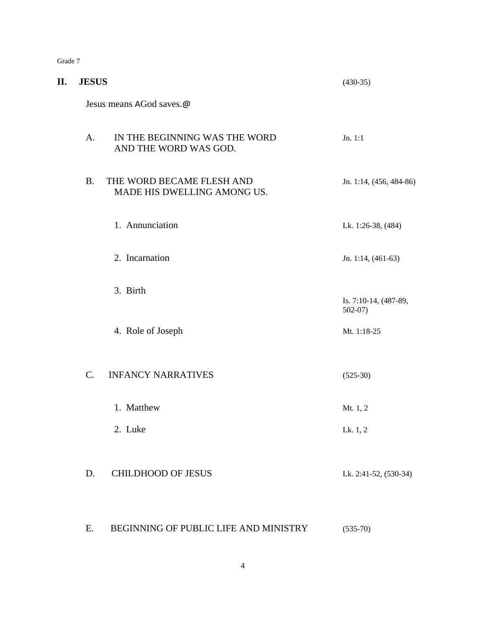|--|--|

| П. | <b>JESUS</b>    |                                                          | $(430-35)$                        |
|----|-----------------|----------------------------------------------------------|-----------------------------------|
|    |                 | Jesus means AGod saves.@                                 |                                   |
|    | A.              | IN THE BEGINNING WAS THE WORD<br>AND THE WORD WAS GOD.   | Jn. 1:1                           |
|    | <b>B.</b>       | THE WORD BECAME FLESH AND<br>MADE HIS DWELLING AMONG US. | Jn. 1:14, (456, 484-86)           |
|    |                 | 1. Annunciation                                          | Lk. 1:26-38, (484)                |
|    |                 | 2. Incarnation                                           | Jn. 1:14, (461-63)                |
|    |                 | 3. Birth                                                 | Is. 7:10-14, (487-89,<br>$502-07$ |
|    |                 | 4. Role of Joseph                                        | Mt. 1:18-25                       |
|    | $\mathcal{C}$ . | <b>INFANCY NARRATIVES</b>                                | $(525-30)$                        |
|    |                 | 1. Matthew                                               | Mt. 1, 2                          |
|    |                 | 2. Luke                                                  | Lk. 1, 2                          |
|    | D.              | <b>CHILDHOOD OF JESUS</b>                                | Lk. 2:41-52, (530-34)             |
|    | Ε.              | BEGINNING OF PUBLIC LIFE AND MINISTRY                    | $(535-70)$                        |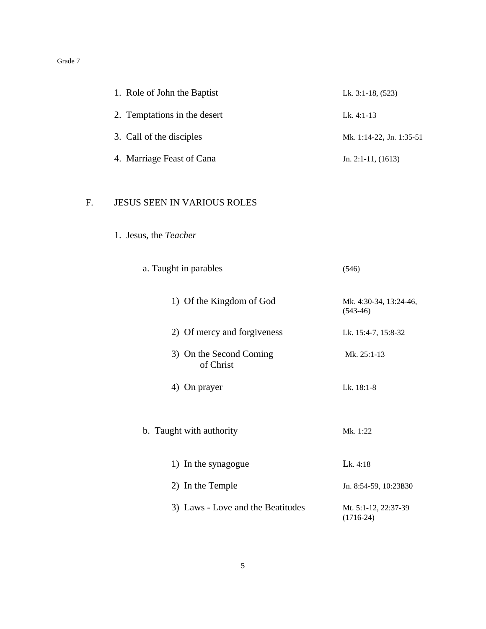| 1. Role of John the Baptist  | Lk. $3:1-18$ , $(523)$   |
|------------------------------|--------------------------|
| 2. Temptations in the desert | Lk. $4:1-13$             |
| 3. Call of the disciples     | Mk. 1:14-22, Jn. 1:35-51 |
| 4. Marriage Feast of Cana    | Jn. 2:1-11, $(1613)$     |

## F. JESUS SEEN IN VARIOUS ROLES

1. Jesus, the *Teacher*

| a. Taught in parables                | (546)                                |
|--------------------------------------|--------------------------------------|
| 1) Of the Kingdom of God             | Mk. 4:30-34, 13:24-46,<br>$(543-46)$ |
| 2) Of mercy and forgiveness          | Lk. 15:4-7, 15:8-32                  |
| 3) On the Second Coming<br>of Christ | Mk. 25:1-13                          |
| 4) On prayer                         | Lk. $18:1-8$                         |
| b. Taught with authority             | Mk. 1:22                             |
| 1) In the synagogue                  | Lk. 4:18                             |
| 2) In the Temple                     | Jn. 8:54-59, 10:23B30                |
| 3) Laws - Love and the Beatitudes    | Mt. 5:1-12, 22:37-39<br>$(1716-24)$  |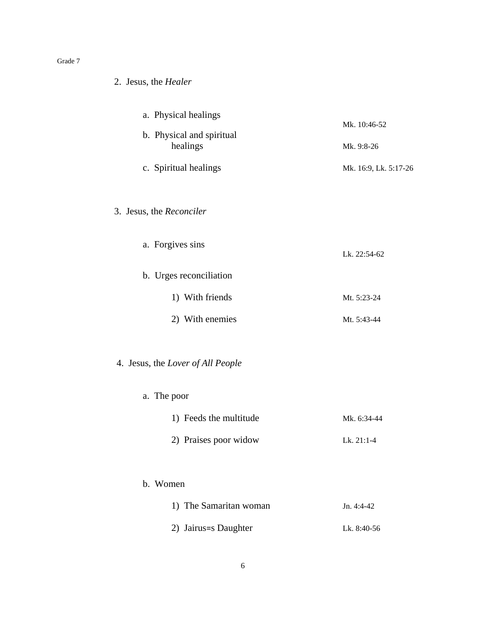| 2. Jesus, the Healer                                                                   |                                                     |
|----------------------------------------------------------------------------------------|-----------------------------------------------------|
| a. Physical healings<br>b. Physical and spiritual<br>healings<br>c. Spiritual healings | Mk. 10:46-52<br>Mk. 9:8-26<br>Mk. 16:9, Lk. 5:17-26 |
| 3. Jesus, the Reconciler                                                               |                                                     |
| a. Forgives sins                                                                       | Lk. 22:54-62                                        |
| b. Urges reconciliation                                                                |                                                     |
| 1) With friends                                                                        | Mt. 5:23-24                                         |
| 2) With enemies                                                                        | Mt. 5:43-44                                         |
| 4. Jesus, the Lover of All People                                                      |                                                     |
| a. The poor                                                                            |                                                     |
| 1) Feeds the multitude                                                                 | Mk. 6:34-44                                         |
| 2) Praises poor widow                                                                  | Lk. 21:1-4                                          |
| b. Women                                                                               |                                                     |
| 1) The Samaritan woman                                                                 | Jn. 4:4-42                                          |
| 2) Jairus=s Daughter                                                                   | Lk. 8:40-56                                         |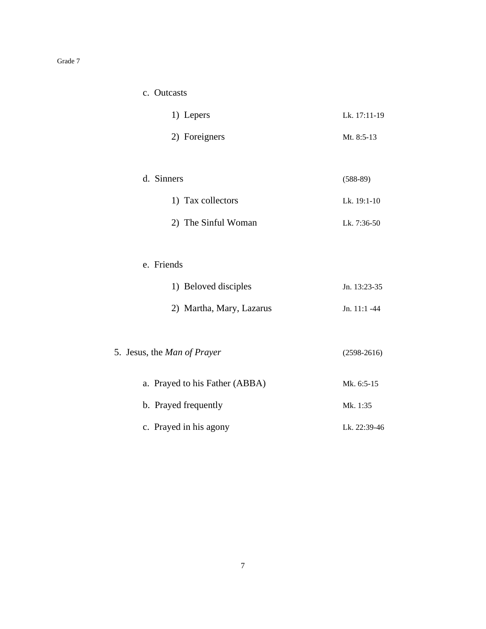| c. | <b>Outcasts</b> |
|----|-----------------|
|    |                 |

| 1) Lepers     | Lk. 17:11-19 |
|---------------|--------------|
| 2) Foreigners | Mt. $8:5-13$ |
|               |              |

d. Sinners (588-89) 1) Tax collectors Lk. 19:1-10 2) The Sinful Woman Lk. 7:36-50

#### e. Friends

| 1) Beloved disciples     | Jn. 13:23-35   |
|--------------------------|----------------|
| 2) Martha, Mary, Lazarus | Jn. $11:1 -44$ |

- 5. Jesus, the *Man of Prayer* (2598-2616)
	- a. Prayed to his Father (ABBA) Mk. 6:5-15 b. Prayed frequently Mk. 1:35 c. Prayed in his agony Lk. 22:39-46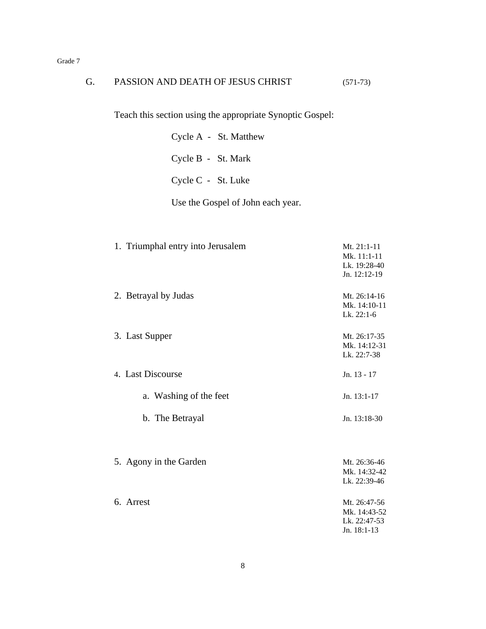| G. | PASSION AND DEATH OF JESUS CHRIST                         | $(571-73)$                                                  |
|----|-----------------------------------------------------------|-------------------------------------------------------------|
|    | Teach this section using the appropriate Synoptic Gospel: |                                                             |
|    | Cycle A - St. Matthew                                     |                                                             |
|    | Cycle B - St. Mark                                        |                                                             |
|    | Cycle C - St. Luke                                        |                                                             |
|    | Use the Gospel of John each year.                         |                                                             |
|    | 1. Triumphal entry into Jerusalem                         | Mt. 21:1-11<br>Mk. 11:1-11<br>Lk. 19:28-40<br>Jn. 12:12-19  |
|    | 2. Betrayal by Judas                                      | Mt. 26:14-16<br>Mk. 14:10-11<br>Lk. 22:1-6                  |
|    | 3. Last Supper                                            | Mt. 26:17-35<br>Mk. 14:12-31<br>Lk. 22:7-38                 |
|    | 4. Last Discourse                                         | Jn. 13 - 17                                                 |
|    | a. Washing of the feet                                    | Jn. 13:1-17                                                 |
|    | b. The Betrayal                                           | Jn. 13:18-30                                                |
|    | 5. Agony in the Garden                                    | Mt. 26:36-46<br>Mk. 14:32-42<br>Lk. 22:39-46                |
|    | 6. Arrest                                                 | Mt. 26:47-56<br>Mk. 14:43-52<br>Lk. 22:47-53<br>Jn. 18:1-13 |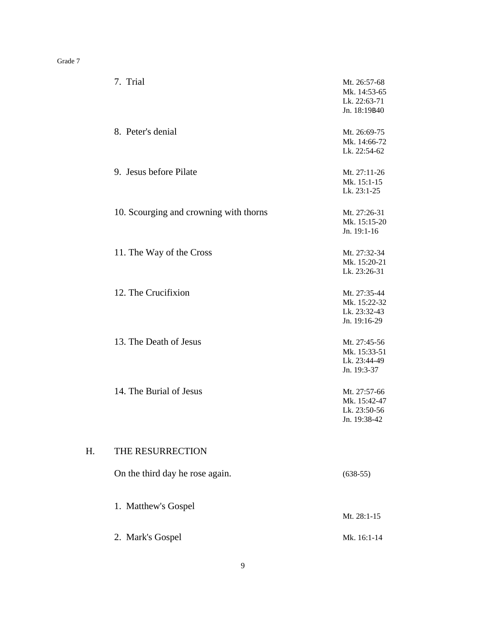|    | 7. Trial                               | Mt. 26:57-68<br>Mk. 14:53-65<br>Lk. 22:63-71<br>Jn. 18:19B40 |
|----|----------------------------------------|--------------------------------------------------------------|
|    | 8. Peter's denial                      | Mt. 26:69-75<br>Mk. 14:66-72<br>Lk. 22:54-62                 |
|    | 9. Jesus before Pilate                 | Mt. 27:11-26<br>Mk. 15:1-15<br>Lk. 23:1-25                   |
|    | 10. Scourging and crowning with thorns | Mt. 27:26-31<br>Mk. 15:15-20<br>Jn. 19:1-16                  |
|    | 11. The Way of the Cross               | Mt. 27:32-34<br>Mk. 15:20-21<br>Lk. 23:26-31                 |
|    | 12. The Crucifixion                    | Mt. 27:35-44<br>Mk. 15:22-32<br>Lk. 23:32-43<br>Jn. 19:16-29 |
|    | 13. The Death of Jesus                 | Mt. 27:45-56<br>Mk. 15:33-51<br>Lk. 23:44-49<br>Jn. 19:3-37  |
|    | 14. The Burial of Jesus                | Mt. 27:57-66<br>Mk. 15:42-47<br>Lk. 23:50-56<br>Jn. 19:38-42 |
| H. | THE RESURRECTION                       |                                                              |
|    | On the third day he rose again.        | $(638-55)$                                                   |
|    | 1. Matthew's Gospel                    | Mt. 28:1-15                                                  |
|    | 2. Mark's Gospel                       | Mk. 16:1-14                                                  |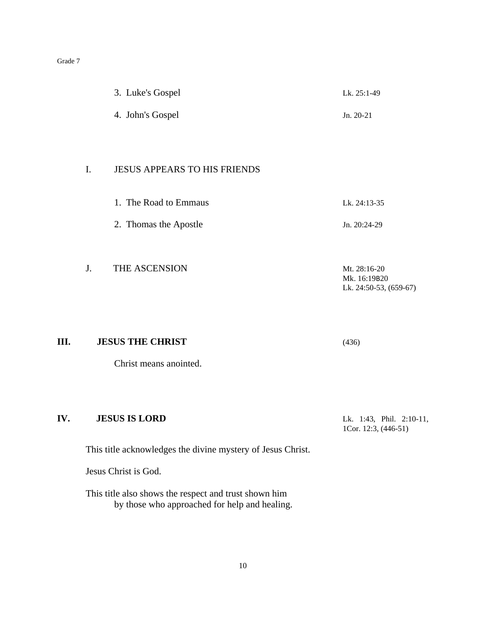| 3. Luke's Gospel | Lk. 25:1-49 |
|------------------|-------------|
| 4. John's Gospel | $Jn. 20-21$ |

#### I. JESUS APPEARS TO HIS FRIENDS

- 1. The Road to Emmaus Lk. 24:13-35
- 2. Thomas the Apostle Jn. 20:24-29
- J. THE ASCENSION Mt. 28:16-20 Mk. 16:19B20 Lk. 24:50-53, (659-67)

**III. JESUS THE CHRIST** (436)

Christ means anointed.

#### **IV. JESUS IS LORD** Lk. 1:43, Phil. 2:10-11,

1Cor. 12:3, (446-51)

This title acknowledges the divine mystery of Jesus Christ.

Jesus Christ is God.

This title also shows the respect and trust shown him by those who approached for help and healing.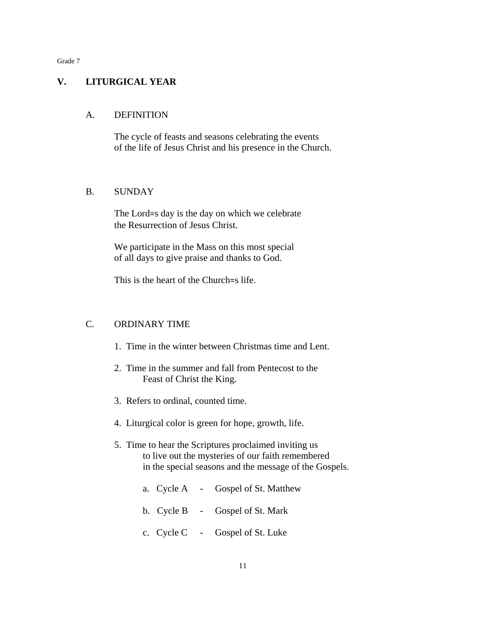#### **V. LITURGICAL YEAR**

#### A. DEFINITION

The cycle of feasts and seasons celebrating the events of the life of Jesus Christ and his presence in the Church.

#### B. SUNDAY

The Lord=s day is the day on which we celebrate the Resurrection of Jesus Christ.

We participate in the Mass on this most special of all days to give praise and thanks to God.

This is the heart of the Church=s life.

#### C. ORDINARY TIME

- 1. Time in the winter between Christmas time and Lent.
- 2. Time in the summer and fall from Pentecost to the Feast of Christ the King.
- 3. Refers to ordinal, counted time.
- 4. Liturgical color is green for hope, growth, life.
- 5. Time to hear the Scriptures proclaimed inviting us to live out the mysteries of our faith remembered in the special seasons and the message of the Gospels.
	- a. Cycle A Gospel of St. Matthew
	- b. Cycle B Gospel of St. Mark
	- c. Cycle C Gospel of St. Luke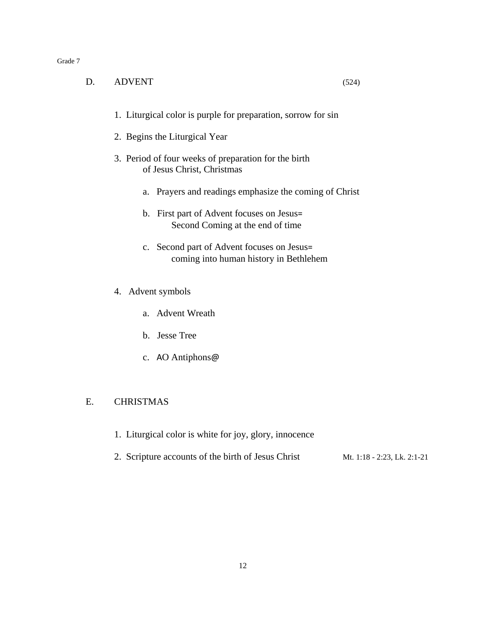| D. | <b>ADVENT</b><br>(524)                                                               |
|----|--------------------------------------------------------------------------------------|
|    | 1. Liturgical color is purple for preparation, sorrow for sin                        |
|    | 2. Begins the Liturgical Year                                                        |
|    | 3. Period of four weeks of preparation for the birth<br>of Jesus Christ, Christmas   |
|    | a. Prayers and readings emphasize the coming of Christ                               |
|    | b. First part of Advent focuses on Jesus=<br>Second Coming at the end of time        |
|    | c. Second part of Advent focuses on Jesus=<br>coming into human history in Bethlehem |
|    | 4. Advent symbols                                                                    |
|    | a. Advent Wreath                                                                     |
|    | b. Jesse Tree                                                                        |
|    | c. AO Antiphons@                                                                     |
|    |                                                                                      |
| Е. | <b>CHRISTMAS</b>                                                                     |

- 1. Liturgical color is white for joy, glory, innocence
- 2. Scripture accounts of the birth of Jesus Christ Mt. 1:18 2:23, Lk. 2:1-21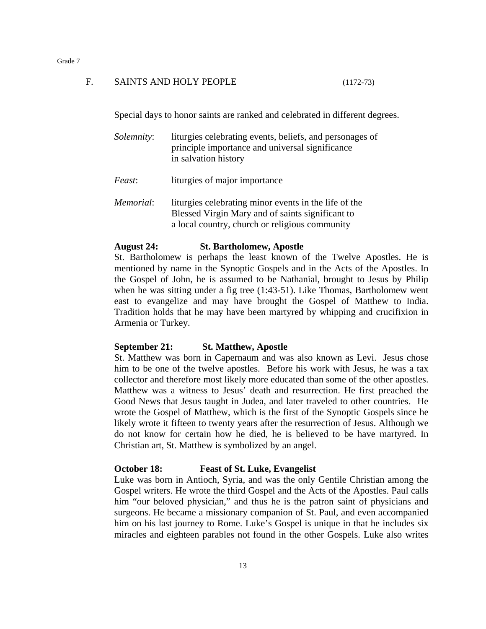#### F. SAINTS AND HOLY PEOPLE (1172-73)

Special days to honor saints are ranked and celebrated in different degrees.

| liturgies celebrating events, beliefs, and personages of |
|----------------------------------------------------------|
| principle importance and universal significance          |
| in salvation history                                     |
|                                                          |

*Feast*: liturgies of major importance

*Memorial*: liturgies celebrating minor events in the life of the Blessed Virgin Mary and of saints significant to a local country, church or religious community

#### **August 24: St. Bartholomew, Apostle**

St. Bartholomew is perhaps the least known of the Twelve Apostles. He is mentioned by name in the Synoptic Gospels and in the Acts of the Apostles. In the Gospel of John, he is assumed to be Nathanial, brought to Jesus by Philip when he was sitting under a fig tree (1:43-51). Like Thomas, Bartholomew went east to evangelize and may have brought the Gospel of Matthew to India. Tradition holds that he may have been martyred by whipping and crucifixion in Armenia or Turkey.

#### **September 21: St. Matthew, Apostle**

St. Matthew was born in Capernaum and was also known as Levi. Jesus chose him to be one of the twelve apostles. Before his work with Jesus, he was a tax collector and therefore most likely more educated than some of the other apostles. Matthew was a witness to Jesus' death and resurrection. He first preached the Good News that Jesus taught in Judea, and later traveled to other countries. He wrote the Gospel of Matthew, which is the first of the Synoptic Gospels since he likely wrote it fifteen to twenty years after the resurrection of Jesus. Although we do not know for certain how he died, he is believed to be have martyred. In Christian art, St. Matthew is symbolized by an angel.

#### **October 18: Feast of St. Luke, Evangelist**

Luke was born in Antioch, Syria, and was the only Gentile Christian among the Gospel writers. He wrote the third Gospel and the Acts of the Apostles. Paul calls him "our beloved physician," and thus he is the patron saint of physicians and surgeons. He became a missionary companion of St. Paul, and even accompanied him on his last journey to Rome. Luke's Gospel is unique in that he includes six miracles and eighteen parables not found in the other Gospels. Luke also writes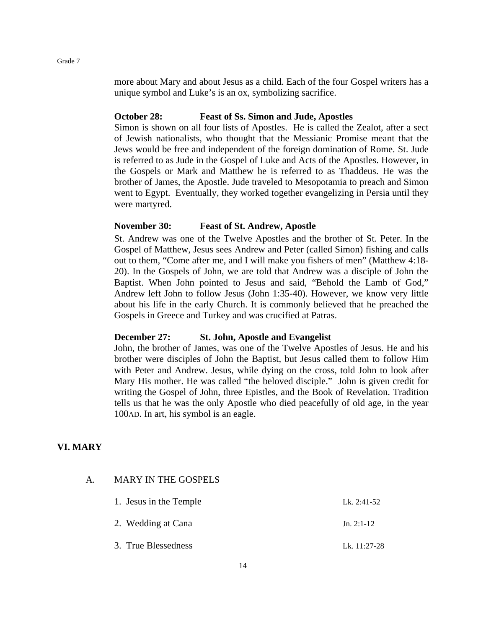more about Mary and about Jesus as a child. Each of the four Gospel writers has a unique symbol and Luke's is an ox, symbolizing sacrifice.

#### **October 28: Feast of Ss. Simon and Jude, Apostles**

Simon is shown on all four lists of Apostles. He is called the Zealot, after a sect of Jewish nationalists, who thought that the Messianic Promise meant that the Jews would be free and independent of the foreign domination of Rome. St. Jude is referred to as Jude in the Gospel of Luke and Acts of the Apostles. However, in the Gospels or Mark and Matthew he is referred to as Thaddeus. He was the brother of James, the Apostle. Jude traveled to Mesopotamia to preach and Simon went to Egypt. Eventually, they worked together evangelizing in Persia until they were martyred.

#### **November 30: Feast of St. Andrew, Apostle**

St. Andrew was one of the Twelve Apostles and the brother of St. Peter. In the Gospel of Matthew, Jesus sees Andrew and Peter (called Simon) fishing and calls out to them, "Come after me, and I will make you fishers of men" (Matthew 4:18- 20). In the Gospels of John, we are told that Andrew was a disciple of John the Baptist. When John pointed to Jesus and said, "Behold the Lamb of God," Andrew left John to follow Jesus (John 1:35-40). However, we know very little about his life in the early Church. It is commonly believed that he preached the Gospels in Greece and Turkey and was crucified at Patras.

#### **December 27: St. John, Apostle and Evangelist**

John, the brother of James, was one of the Twelve Apostles of Jesus. He and his brother were disciples of John the Baptist, but Jesus called them to follow Him with Peter and Andrew. Jesus, while dying on the cross, told John to look after Mary His mother. He was called "the beloved disciple." John is given credit for writing the Gospel of John, three Epistles, and the Book of Revelation. Tradition tells us that he was the only Apostle who died peacefully of old age, in the year 100AD. In art, his symbol is an eagle.

#### **VI. MARY**

#### A. MARY IN THE GOSPELS

| 1. Jesus in the Temple | Lk. 2:41-52    |
|------------------------|----------------|
| 2. Wedding at Cana     | $Jn. 2:1-12$   |
| 3. True Blessedness    | Lk. $11:27-28$ |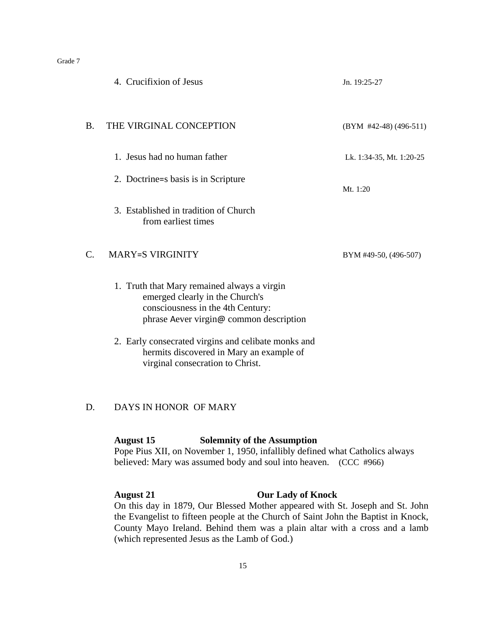|           | 4. Crucifixion of Jesus                                                                                                                                        | Jn. 19:25-27             |
|-----------|----------------------------------------------------------------------------------------------------------------------------------------------------------------|--------------------------|
| <b>B.</b> | THE VIRGINAL CONCEPTION                                                                                                                                        | $(BYM$ #42-48) (496-511) |
|           | 1. Jesus had no human father                                                                                                                                   | Lk. 1:34-35, Mt. 1:20-25 |
|           | 2. Doctrine = s basis is in Scripture                                                                                                                          | Mt. $1:20$               |
|           | 3. Established in tradition of Church<br>from earliest times                                                                                                   |                          |
| C.        | <b>MARY=S VIRGINITY</b>                                                                                                                                        | BYM #49-50, (496-507)    |
|           | 1. Truth that Mary remained always a virgin<br>emerged clearly in the Church's<br>consciousness in the 4th Century:<br>phrase Aever virgin@ common description |                          |

2. Early consecrated virgins and celibate monks and hermits discovered in Mary an example of virginal consecration to Christ.

#### D. DAYS IN HONOR OF MARY

#### **August 15 Solemnity of the Assumption**

Pope Pius XII, on November 1, 1950, infallibly defined what Catholics always believed: Mary was assumed body and soul into heaven. (CCC #966)

#### **August 21 Our Lady of Knock**

On this day in 1879, Our Blessed Mother appeared with St. Joseph and St. John the Evangelist to fifteen people at the Church of Saint John the Baptist in Knock, County Mayo Ireland. Behind them was a plain altar with a cross and a lamb (which represented Jesus as the Lamb of God.)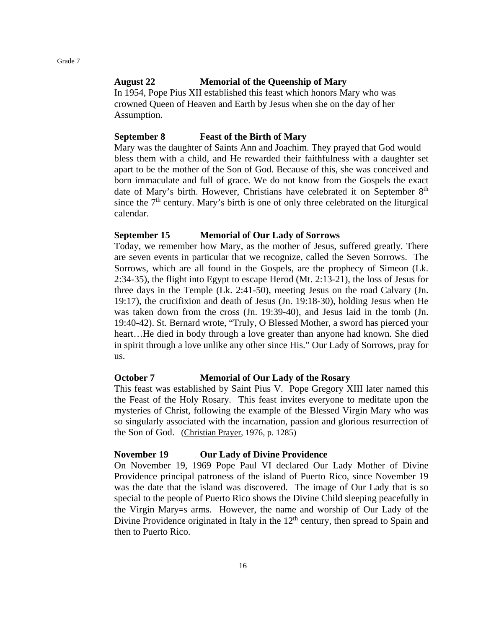#### **August 22 Memorial of the Queenship of Mary**

In 1954, Pope Pius XII established this feast which honors Mary who was crowned Queen of Heaven and Earth by Jesus when she on the day of her Assumption.

#### **September 8 Feast of the Birth of Mary**

Mary was the daughter of Saints Ann and Joachim. They prayed that God would bless them with a child, and He rewarded their faithfulness with a daughter set apart to be the mother of the Son of God. Because of this, she was conceived and born immaculate and full of grace. We do not know from the Gospels the exact date of Mary's birth. However, Christians have celebrated it on September 8<sup>th</sup> since the  $7<sup>th</sup>$  century. Mary's birth is one of only three celebrated on the liturgical calendar.

#### **September 15 Memorial of Our Lady of Sorrows**

Today, we remember how Mary, as the mother of Jesus, suffered greatly. There are seven events in particular that we recognize, called the Seven Sorrows. The Sorrows, which are all found in the Gospels, are the prophecy of Simeon (Lk. 2:34-35), the flight into Egypt to escape Herod (Mt. 2:13-21), the loss of Jesus for three days in the Temple (Lk. 2:41-50), meeting Jesus on the road Calvary (Jn. 19:17), the crucifixion and death of Jesus (Jn. 19:18-30), holding Jesus when He was taken down from the cross (Jn. 19:39-40), and Jesus laid in the tomb (Jn. 19:40-42). St. Bernard wrote, "Truly, O Blessed Mother, a sword has pierced your heart...He died in body through a love greater than anyone had known. She died in spirit through a love unlike any other since His." Our Lady of Sorrows, pray for us.

#### **October 7 Memorial of Our Lady of the Rosary**

This feast was established by Saint Pius V. Pope Gregory XIII later named this the Feast of the Holy Rosary. This feast invites everyone to meditate upon the mysteries of Christ, following the example of the Blessed Virgin Mary who was so singularly associated with the incarnation, passion and glorious resurrection of the Son of God. (Christian Prayer, 1976, p. 1285)

#### **November 19 Our Lady of Divine Providence**

On November 19, 1969 Pope Paul VI declared Our Lady Mother of Divine Providence principal patroness of the island of Puerto Rico, since November 19 was the date that the island was discovered. The image of Our Lady that is so special to the people of Puerto Rico shows the Divine Child sleeping peacefully in the Virgin Mary=s arms. However, the name and worship of Our Lady of the Divine Providence originated in Italy in the  $12<sup>th</sup>$  century, then spread to Spain and then to Puerto Rico.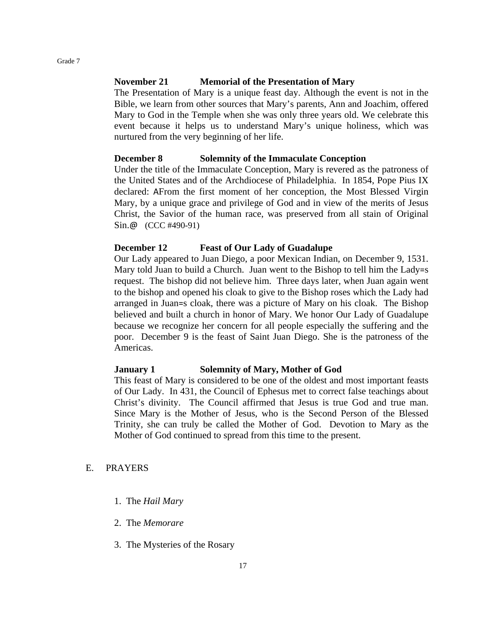#### **November 21 Memorial of the Presentation of Mary**

The Presentation of Mary is a unique feast day. Although the event is not in the Bible, we learn from other sources that Mary's parents, Ann and Joachim, offered Mary to God in the Temple when she was only three years old. We celebrate this event because it helps us to understand Mary's unique holiness, which was nurtured from the very beginning of her life.

#### **December 8 Solemnity of the Immaculate Conception**

Under the title of the Immaculate Conception, Mary is revered as the patroness of the United States and of the Archdiocese of Philadelphia. In 1854, Pope Pius IX declared: AFrom the first moment of her conception, the Most Blessed Virgin Mary, by a unique grace and privilege of God and in view of the merits of Jesus Christ, the Savior of the human race, was preserved from all stain of Original Sin.@ (CCC #490-91)

#### **December 12 Feast of Our Lady of Guadalupe**

Our Lady appeared to Juan Diego, a poor Mexican Indian, on December 9, 1531. Mary told Juan to build a Church. Juan went to the Bishop to tell him the Lady=s request. The bishop did not believe him. Three days later, when Juan again went to the bishop and opened his cloak to give to the Bishop roses which the Lady had arranged in Juan=s cloak, there was a picture of Mary on his cloak. The Bishop believed and built a church in honor of Mary. We honor Our Lady of Guadalupe because we recognize her concern for all people especially the suffering and the poor. December 9 is the feast of Saint Juan Diego. She is the patroness of the Americas.

#### **January 1 Solemnity of Mary, Mother of God**

This feast of Mary is considered to be one of the oldest and most important feasts of Our Lady. In 431, the Council of Ephesus met to correct false teachings about Christ's divinity. The Council affirmed that Jesus is true God and true man. Since Mary is the Mother of Jesus, who is the Second Person of the Blessed Trinity, she can truly be called the Mother of God. Devotion to Mary as the Mother of God continued to spread from this time to the present.

#### E. PRAYERS

- 1. The *Hail Mary*
- 2. The *Memorare*
- 3. The Mysteries of the Rosary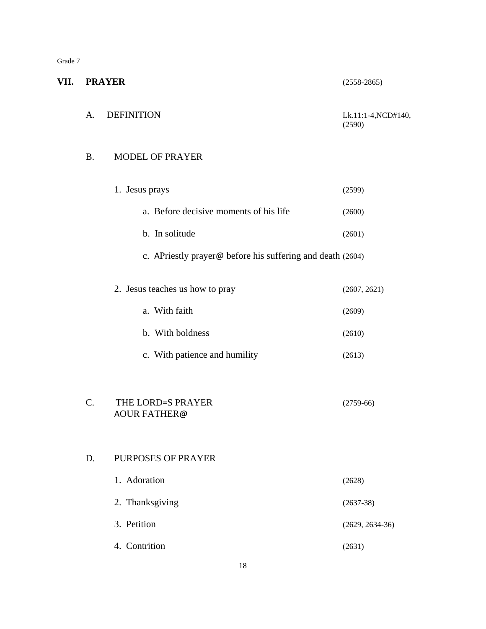| M. |
|----|
|----|

**VII. PRAYER** (2558-2865) A. DEFINITION Lk.11:1-4,NCD#140, (2590) B. MODEL OF PRAYER 1. Jesus prays (2599) a. Before decisive moments of his life (2600)  $b. In solitude$  (2601) c. APriestly prayer@ before his suffering and death (2604) 2. Jesus teaches us how to pray (2607, 2621) a. With faith  $(2609)$ b. With boldness (2610) c. With patience and humility (2613) C. THE LORD=S PRAYER (2759-66) AOUR FATHER@ D. PURPOSES OF PRAYER 1. Adoration (2628) 2. Thanksgiving (2637-38) 3. Petition (2629, 2634-36) 4. Contrition (2631)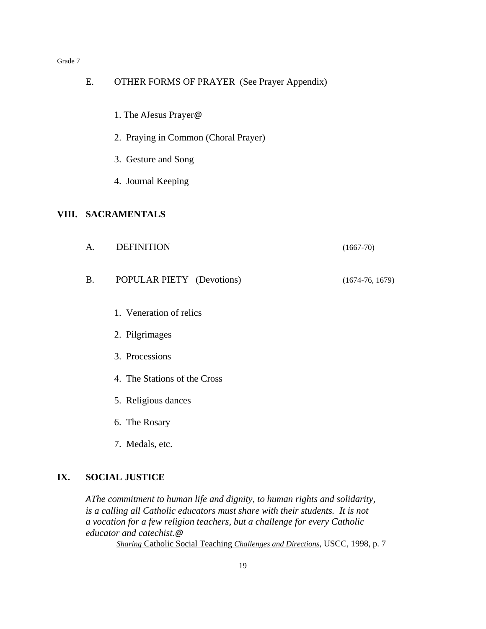| Ε.        | <b>OTHER FORMS OF PRAYER (See Prayer Appendix)</b> |                   |
|-----------|----------------------------------------------------|-------------------|
|           | 1. The AJesus Prayer@                              |                   |
|           | 2. Praying in Common (Choral Prayer)               |                   |
|           | 3. Gesture and Song                                |                   |
|           | 4. Journal Keeping                                 |                   |
|           | VIII. SACRAMENTALS                                 |                   |
| A.        | <b>DEFINITION</b>                                  | $(1667-70)$       |
| <b>B.</b> | POPULAR PIETY (Devotions)                          | $(1674-76, 1679)$ |
|           | 1. Veneration of relics                            |                   |
|           | 2. Pilgrimages                                     |                   |
|           | 3. Processions                                     |                   |
|           | 4. The Stations of the Cross                       |                   |
|           | 5. Religious dances                                |                   |
|           | 6. The Rosary                                      |                   |
|           | 7. Medals, etc.                                    |                   |

#### **IX. SOCIAL JUSTICE**

*AThe commitment to human life and dignity, to human rights and solidarity, is a calling all Catholic educators must share with their students. It is not a vocation for a few religion teachers, but a challenge for every Catholic educator and catechist.@ Sharing* Catholic Social Teaching *Challenges and Directions*, USCC, 1998, p. 7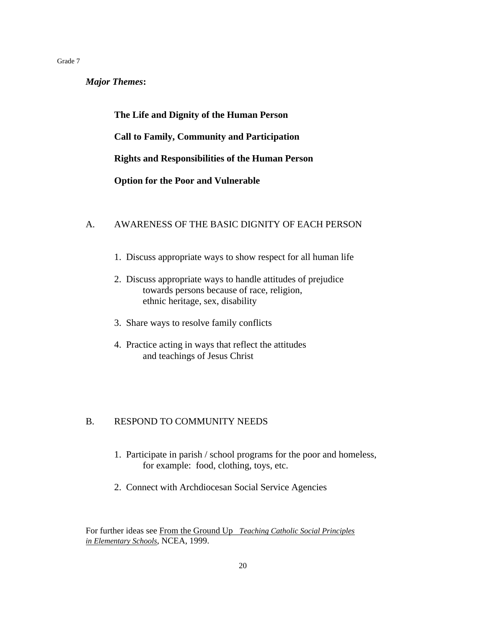*Major Themes***:**

**The Life and Dignity of the Human Person Call to Family, Community and Participation Rights and Responsibilities of the Human Person Option for the Poor and Vulnerable**

#### A. AWARENESS OF THE BASIC DIGNITY OF EACH PERSON

- 1. Discuss appropriate ways to show respect for all human life
- 2. Discuss appropriate ways to handle attitudes of prejudice towards persons because of race, religion, ethnic heritage, sex, disability
- 3. Share ways to resolve family conflicts
- 4. Practice acting in ways that reflect the attitudes and teachings of Jesus Christ

#### B. RESPOND TO COMMUNITY NEEDS

- 1. Participate in parish / school programs for the poor and homeless, for example: food, clothing, toys, etc.
- 2. Connect with Archdiocesan Social Service Agencies

For further ideas see From the Ground Up *Teaching Catholic Social Principles in Elementary Schools*, NCEA, 1999.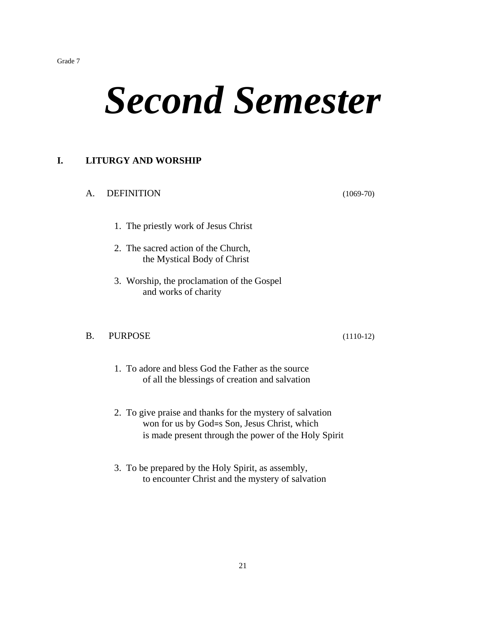# *Second Semester*

#### **I. LITURGY AND WORSHIP**

#### A. DEFINITION (1069-70)

- 1. The priestly work of Jesus Christ
- 2. The sacred action of the Church, the Mystical Body of Christ
- 3. Worship, the proclamation of the Gospel and works of charity

#### B. PURPOSE (1110-12)

- 1. To adore and bless God the Father as the source of all the blessings of creation and salvation
- 2. To give praise and thanks for the mystery of salvation won for us by God=s Son, Jesus Christ, which is made present through the power of the Holy Spirit
- 3. To be prepared by the Holy Spirit, as assembly, to encounter Christ and the mystery of salvation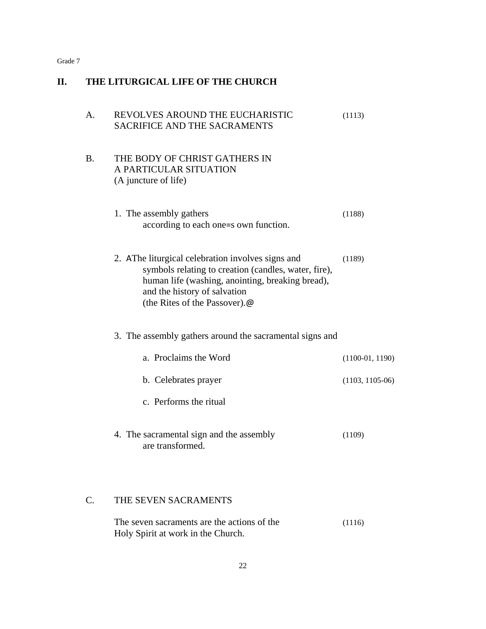| II. | THE LITURGICAL LIFE OF THE CHURCH |                                                                                                                                                                                                                                |                   |  |
|-----|-----------------------------------|--------------------------------------------------------------------------------------------------------------------------------------------------------------------------------------------------------------------------------|-------------------|--|
|     | $A_{\cdot}$                       | REVOLVES AROUND THE EUCHARISTIC<br><b>SACRIFICE AND THE SACRAMENTS</b>                                                                                                                                                         | (1113)            |  |
|     | <b>B.</b>                         | THE BODY OF CHRIST GATHERS IN<br>A PARTICULAR SITUATION<br>(A juncture of life)                                                                                                                                                |                   |  |
|     |                                   | 1. The assembly gathers<br>according to each one=s own function.                                                                                                                                                               | (1188)            |  |
|     |                                   | 2. AThe liturgical celebration involves signs and<br>symbols relating to creation (candles, water, fire),<br>human life (washing, anointing, breaking bread),<br>and the history of salvation<br>(the Rites of the Passover).@ | (1189)            |  |
|     |                                   | 3. The assembly gathers around the sacramental signs and                                                                                                                                                                       |                   |  |
|     |                                   | a. Proclaims the Word                                                                                                                                                                                                          | $(1100-01, 1190)$ |  |
|     |                                   | b. Celebrates prayer                                                                                                                                                                                                           | $(1103, 1105-06)$ |  |
|     |                                   | c. Performs the ritual                                                                                                                                                                                                         |                   |  |
|     |                                   | 4. The sacramental sign and the assembly<br>are transformed.                                                                                                                                                                   | (1109)            |  |
|     | C.                                | THE SEVEN SACRAMENTS                                                                                                                                                                                                           |                   |  |
|     |                                   | The seven sacraments are the actions of the<br>Holy Spirit at work in the Church.                                                                                                                                              | (1116)            |  |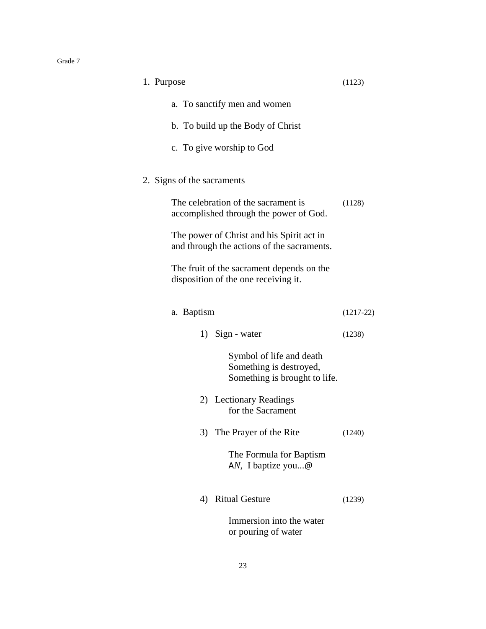| 1. Purpose                                                                              | (1123)      |
|-----------------------------------------------------------------------------------------|-------------|
| a. To sanctify men and women                                                            |             |
| b. To build up the Body of Christ                                                       |             |
| c. To give worship to God                                                               |             |
| 2. Signs of the sacraments                                                              |             |
| The celebration of the sacrament is<br>accomplished through the power of God.           | (1128)      |
| The power of Christ and his Spirit act in<br>and through the actions of the sacraments. |             |
| The fruit of the sacrament depends on the<br>disposition of the one receiving it.       |             |
| a. Baptism                                                                              | $(1217-22)$ |
| 1) Sign - water                                                                         | (1238)      |
| Symbol of life and death<br>Something is destroyed,<br>Something is brought to life.    |             |
| 2) Lectionary Readings<br>for the Sacrament                                             |             |
| The Prayer of the Rite<br>3)                                                            | (1240)      |
| The Formula for Baptism<br>AN, I baptize you $\omega$                                   |             |
| <b>Ritual Gesture</b><br>4)                                                             | (1239)      |
| Immersion into the water<br>or pouring of water                                         |             |

23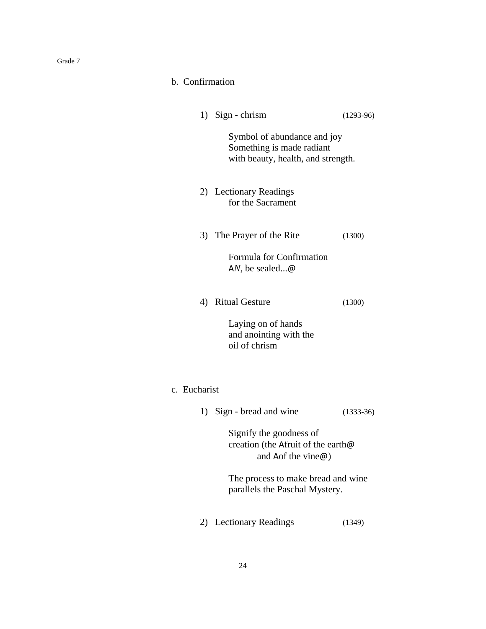| -12<br>аα |  |
|-----------|--|
|-----------|--|

|  | b. Confirmation |
|--|-----------------|
|  |                 |

|              | 1) Sign - chrism                                                                               | $(1293-96)$ |
|--------------|------------------------------------------------------------------------------------------------|-------------|
|              | Symbol of abundance and joy<br>Something is made radiant<br>with beauty, health, and strength. |             |
|              | 2) Lectionary Readings<br>for the Sacrament                                                    |             |
|              | 3) The Prayer of the Rite                                                                      | (1300)      |
|              | Formula for Confirmation<br>AN, be sealed@                                                     |             |
|              | 4) Ritual Gesture                                                                              | (1300)      |
|              | Laying on of hands<br>and anointing with the<br>oil of chrism                                  |             |
| c. Eucharist |                                                                                                |             |
|              | 1) Sign - bread and wine                                                                       | $(1333-36)$ |
|              | Signify the goodness of<br>creation (the Afruit of the earth@<br>and Aof the vine $\omega$ )   |             |
|              | The process to make bread and wine<br>parallels the Paschal Mystery.                           |             |
|              | 2) Lectionary Readings                                                                         | (1349)      |
|              |                                                                                                |             |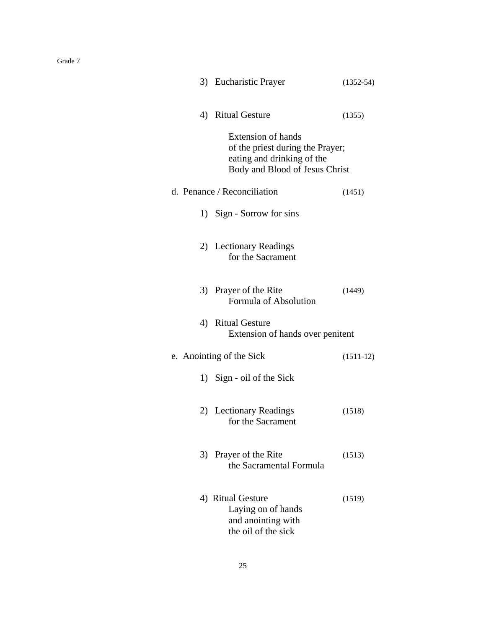|    | 3) Eucharistic Prayer                                                                                                         | $(1352 - 54)$ |
|----|-------------------------------------------------------------------------------------------------------------------------------|---------------|
|    | 4) Ritual Gesture                                                                                                             | (1355)        |
|    | <b>Extension of hands</b><br>of the priest during the Prayer;<br>eating and drinking of the<br>Body and Blood of Jesus Christ |               |
|    | d. Penance / Reconciliation                                                                                                   | (1451)        |
|    | 1) Sign - Sorrow for sins                                                                                                     |               |
|    | 2) Lectionary Readings<br>for the Sacrament                                                                                   |               |
|    | 3) Prayer of the Rite<br>Formula of Absolution                                                                                | (1449)        |
|    | 4) Ritual Gesture<br>Extension of hands over penitent                                                                         |               |
|    | e. Anointing of the Sick                                                                                                      | $(1511-12)$   |
|    | 1) Sign - oil of the Sick                                                                                                     |               |
|    | 2) Lectionary Readings<br>for the Sacrament                                                                                   | (1518)        |
| 3) | Prayer of the Rite<br>the Sacramental Formula                                                                                 | (1513)        |
|    | 4) Ritual Gesture<br>Laying on of hands<br>and anointing with<br>the oil of the sick                                          | (1519)        |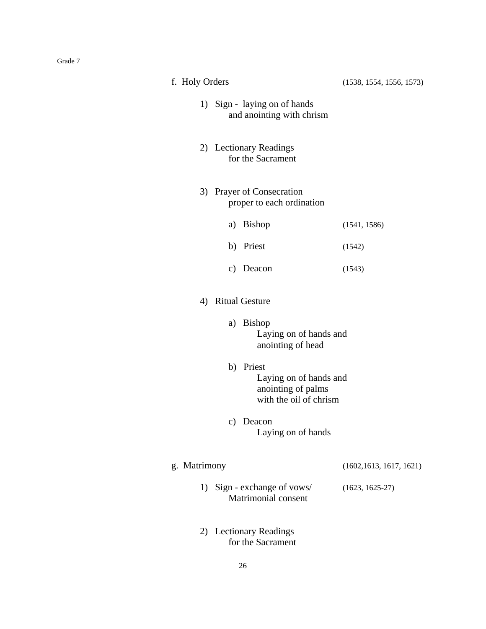| f. Holy Orders                                            |                                                        | (1538, 1554, 1556, 1573)                                                            |                          |
|-----------------------------------------------------------|--------------------------------------------------------|-------------------------------------------------------------------------------------|--------------------------|
| 1) Sign - laying on of hands<br>and anointing with chrism |                                                        |                                                                                     |                          |
|                                                           | 2) Lectionary Readings<br>for the Sacrament            |                                                                                     |                          |
|                                                           | 3) Prayer of Consecration<br>proper to each ordination |                                                                                     |                          |
|                                                           |                                                        | a) Bishop                                                                           | (1541, 1586)             |
|                                                           |                                                        | b) Priest                                                                           | (1542)                   |
|                                                           |                                                        | c) Deacon                                                                           | (1543)                   |
|                                                           | 4) Ritual Gesture                                      |                                                                                     |                          |
| a) Bishop<br>Laying on of hands and<br>anointing of head  |                                                        |                                                                                     |                          |
|                                                           |                                                        | b) Priest<br>Laying on of hands and<br>anointing of palms<br>with the oil of chrism |                          |
|                                                           | $\mathbf{c})$                                          | Deacon<br>Laying on of hands                                                        |                          |
| g. Matrimony                                              |                                                        |                                                                                     | (1602, 1613, 1617, 1621) |
|                                                           |                                                        | 1) Sign - exchange of vows/<br><b>Matrimonial consent</b>                           | $(1623, 1625-27)$        |
| 2)                                                        |                                                        | <b>Lectionary Readings</b><br>for the Sacrament                                     |                          |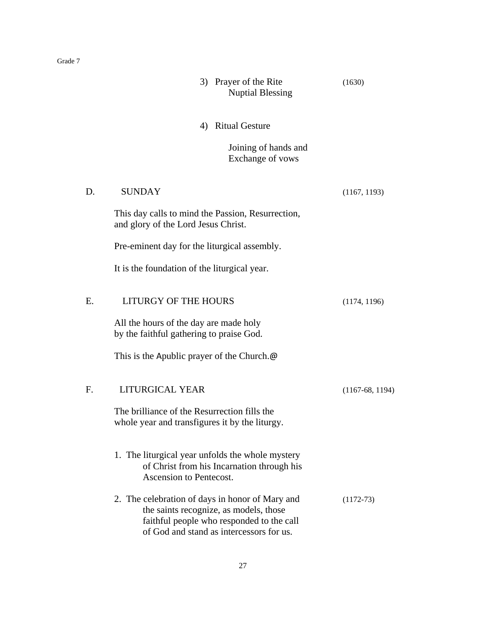|    | <b>Nuptial Blessing</b>                                                                                                                                                            |                   |
|----|------------------------------------------------------------------------------------------------------------------------------------------------------------------------------------|-------------------|
|    | 4) Ritual Gesture                                                                                                                                                                  |                   |
|    | Joining of hands and<br>Exchange of vows                                                                                                                                           |                   |
| D. | <b>SUNDAY</b>                                                                                                                                                                      | (1167, 1193)      |
|    | This day calls to mind the Passion, Resurrection,<br>and glory of the Lord Jesus Christ.                                                                                           |                   |
|    | Pre-eminent day for the liturgical assembly.                                                                                                                                       |                   |
|    | It is the foundation of the liturgical year.                                                                                                                                       |                   |
| E. | <b>LITURGY OF THE HOURS</b>                                                                                                                                                        | (1174, 1196)      |
|    | All the hours of the day are made holy<br>by the faithful gathering to praise God.                                                                                                 |                   |
|    | This is the Apublic prayer of the Church. $\omega$                                                                                                                                 |                   |
| F. | LITURGICAL YEAR                                                                                                                                                                    | $(1167-68, 1194)$ |
|    | The brilliance of the Resurrection fills the<br>whole year and transfigures it by the liturgy.                                                                                     |                   |
|    | 1. The liturgical year unfolds the whole mystery<br>of Christ from his Incarnation through his<br>Ascension to Pentecost.                                                          |                   |
|    | 2. The celebration of days in honor of Mary and<br>the saints recognize, as models, those<br>faithful people who responded to the call<br>of God and stand as intercessors for us. | $(1172-73)$       |

3) Prayer of the Rite (1630)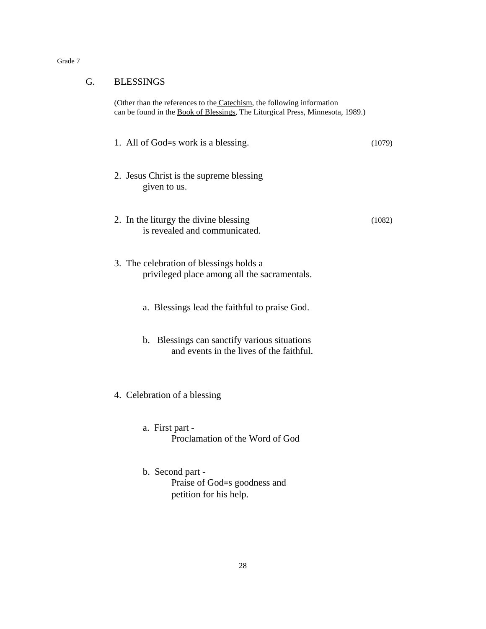| гис |  |
|-----|--|
|-----|--|

(Other than the references to the Catechism, the following information can be found in the Book of Blessings, The Liturgical Press, Minnesota, 1989.)

- 1. All of God=s work is a blessing. (1079) 2. Jesus Christ is the supreme blessing given to us. 2. In the liturgy the divine blessing (1082)
- 3. The celebration of blessings holds a privileged place among all the sacramentals.

is revealed and communicated.

- a. Blessings lead the faithful to praise God.
- b. Blessings can sanctify various situations and events in the lives of the faithful.
- 4. Celebration of a blessing
	- a. First part Proclamation of the Word of God
	- b. Second part Praise of God=s goodness and petition for his help.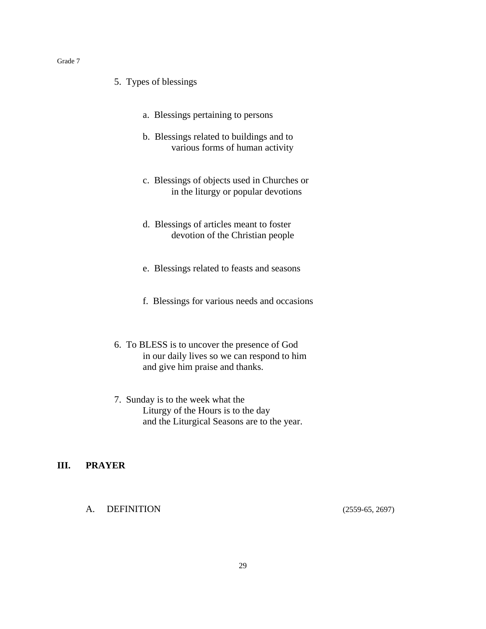- 5. Types of blessings
	- a. Blessings pertaining to persons
	- b. Blessings related to buildings and to various forms of human activity
	- c. Blessings of objects used in Churches or in the liturgy or popular devotions
	- d. Blessings of articles meant to foster devotion of the Christian people
	- e. Blessings related to feasts and seasons
	- f. Blessings for various needs and occasions
- 6. To BLESS is to uncover the presence of God in our daily lives so we can respond to him and give him praise and thanks.
- 7. Sunday is to the week what the Liturgy of the Hours is to the day and the Liturgical Seasons are to the year.

#### **III. PRAYER**

A. DEFINITION (2559-65, 2697)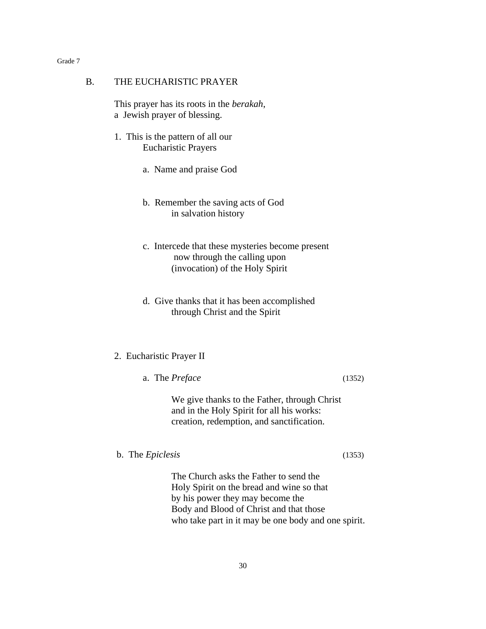#### B. THE EUCHARISTIC PRAYER

This prayer has its roots in the *berakah*, a Jewish prayer of blessing.

- 1. This is the pattern of all our Eucharistic Prayers
	- a. Name and praise God
	- b. Remember the saving acts of God in salvation history
	- c. Intercede that these mysteries become present now through the calling upon (invocation) of the Holy Spirit
	- d. Give thanks that it has been accomplished through Christ and the Spirit

#### 2. Eucharistic Prayer II

a. The *Preface* (1352)

We give thanks to the Father, through Christ and in the Holy Spirit for all his works: creation, redemption, and sanctification.

b. The *Epiclesis* (1353)

The Church asks the Father to send the Holy Spirit on the bread and wine so that by his power they may become the Body and Blood of Christ and that those who take part in it may be one body and one spirit.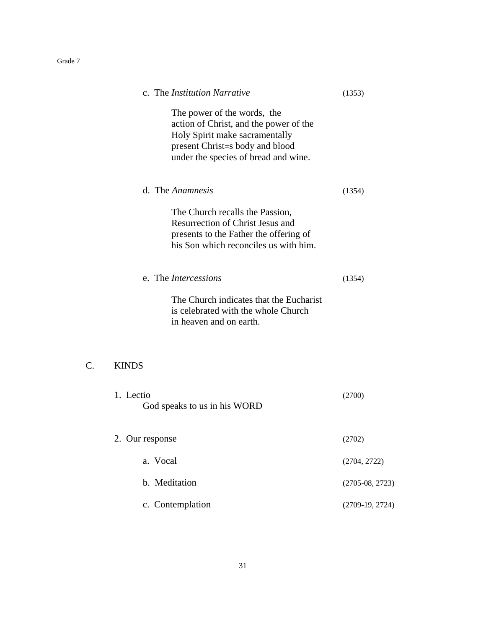|                 | c. The <i>Institution Narrative</i>                                                                                                                                                | (1353)            |
|-----------------|------------------------------------------------------------------------------------------------------------------------------------------------------------------------------------|-------------------|
|                 | The power of the words, the<br>action of Christ, and the power of the<br>Holy Spirit make sacramentally<br>present Christ=s body and blood<br>under the species of bread and wine. |                   |
|                 | d. The Anamnesis                                                                                                                                                                   | (1354)            |
|                 | The Church recalls the Passion,<br><b>Resurrection of Christ Jesus and</b><br>presents to the Father the offering of<br>his Son which reconciles us with him.                      |                   |
|                 | e. The Intercessions                                                                                                                                                               | (1354)            |
|                 | The Church indicates that the Eucharist<br>is celebrated with the whole Church<br>in heaven and on earth.                                                                          |                   |
| $\mathcal{C}$ . | <b>KINDS</b>                                                                                                                                                                       |                   |
|                 | 1. Lectio<br>God speaks to us in his WORD                                                                                                                                          | (2700)            |
|                 | 2. Our response                                                                                                                                                                    | (2702)            |
|                 | a. Vocal                                                                                                                                                                           | (2704, 2722)      |
|                 | b. Meditation                                                                                                                                                                      | $(2705-08, 2723)$ |
|                 | c. Contemplation                                                                                                                                                                   | $(2709-19, 2724)$ |
|                 |                                                                                                                                                                                    |                   |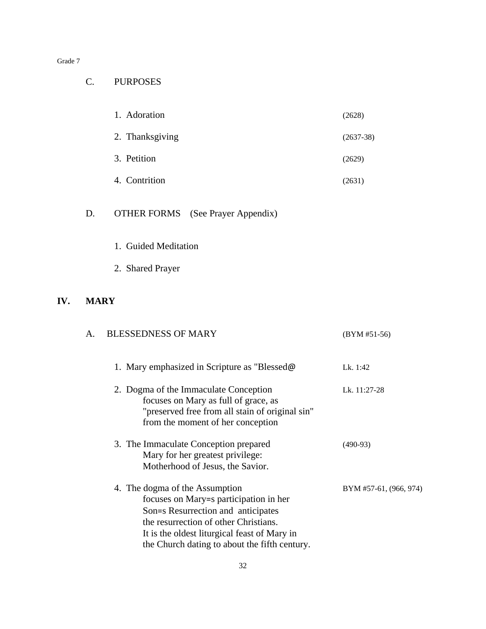### C. PURPOSES

| 1. Adoration    | (2628)      |
|-----------------|-------------|
| 2. Thanksgiving | $(2637-38)$ |
| 3. Petition     | (2629)      |
| 4. Contrition   | (2631)      |

# D. OTHER FORMS (See Prayer Appendix)

- 1. Guided Meditation
- 2. Shared Prayer

#### **IV. MARY**

| А. | <b>BLESSEDNESS OF MARY</b>                                                                                                                                                                                                                               | $(BYM #51-56)$         |
|----|----------------------------------------------------------------------------------------------------------------------------------------------------------------------------------------------------------------------------------------------------------|------------------------|
|    | 1. Mary emphasized in Scripture as "Blessed@                                                                                                                                                                                                             | Lk. 1:42               |
|    | 2. Dogma of the Immaculate Conception<br>focuses on Mary as full of grace, as<br>"preserved free from all stain of original sin"<br>from the moment of her conception                                                                                    | Lk. 11:27-28           |
|    | 3. The Immaculate Conception prepared<br>Mary for her greatest privilege:<br>Motherhood of Jesus, the Savior.                                                                                                                                            | $(490-93)$             |
|    | 4. The dogma of the Assumption<br>focuses on Mary=s participation in her<br>Son=s Resurrection and anticipates<br>the resurrection of other Christians.<br>It is the oldest liturgical feast of Mary in<br>the Church dating to about the fifth century. | BYM #57-61, (966, 974) |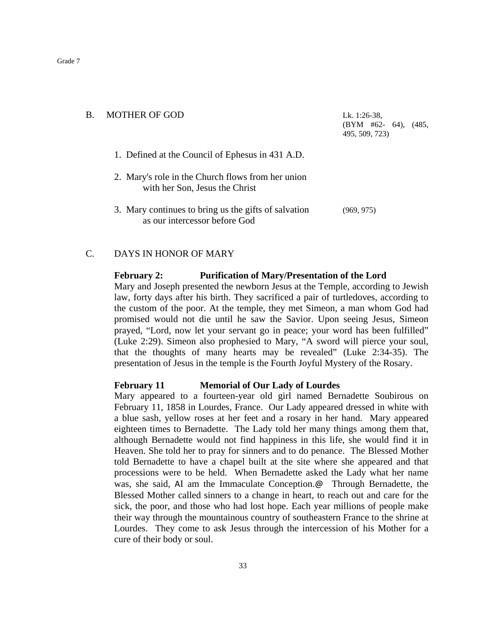# B. MOTHER OF GOD Lk. 1:26-38, (BYM #62- 64), (485, 495, 509, 723) 1. Defined at the Council of Ephesus in 431 A.D. 2. Mary's role in the Church flows from her union with her Son, Jesus the Christ 3. Mary continues to bring us the gifts of salvation (969, 975) as our intercessor before God

#### C. DAYS IN HONOR OF MARY

#### **February 2: Purification of Mary/Presentation of the Lord**

Mary and Joseph presented the newborn Jesus at the Temple, according to Jewish law, forty days after his birth. They sacrificed a pair of turtledoves, according to the custom of the poor. At the temple, they met Simeon, a man whom God had promised would not die until he saw the Savior. Upon seeing Jesus, Simeon prayed, "Lord, now let your servant go in peace; your word has been fulfilled" (Luke 2:29). Simeon also prophesied to Mary, "A sword will pierce your soul, that the thoughts of many hearts may be revealed" (Luke 2:34-35). The presentation of Jesus in the temple is the Fourth Joyful Mystery of the Rosary.

#### **February 11 Memorial of Our Lady of Lourdes**

Mary appeared to a fourteen-year old girl named Bernadette Soubirous on February 11, 1858 in Lourdes, France. Our Lady appeared dressed in white with a blue sash, yellow roses at her feet and a rosary in her hand. Mary appeared eighteen times to Bernadette. The Lady told her many things among them that, although Bernadette would not find happiness in this life, she would find it in Heaven. She told her to pray for sinners and to do penance. The Blessed Mother told Bernadette to have a chapel built at the site where she appeared and that processions were to be held. When Bernadette asked the Lady what her name was, she said, AI am the Immaculate Conception.@ Through Bernadette, the Blessed Mother called sinners to a change in heart, to reach out and care for the sick, the poor, and those who had lost hope. Each year millions of people make their way through the mountainous country of southeastern France to the shrine at Lourdes. They come to ask Jesus through the intercession of his Mother for a cure of their body or soul.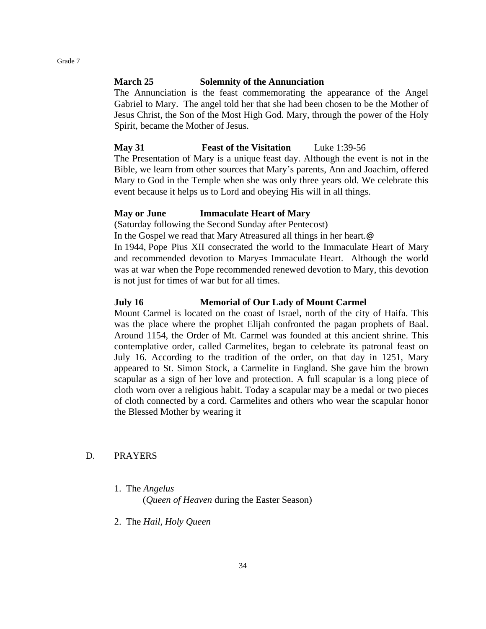#### **March 25 Solemnity of the Annunciation**

The Annunciation is the feast commemorating the appearance of the Angel Gabriel to Mary. The angel told her that she had been chosen to be the Mother of Jesus Christ, the Son of the Most High God. Mary, through the power of the Holy Spirit, became the Mother of Jesus.

#### **May 31 Feast of the Visitation** Luke 1:39-56

The Presentation of Mary is a unique feast day. Although the event is not in the Bible, we learn from other sources that Mary's parents, Ann and Joachim, offered Mary to God in the Temple when she was only three years old. We celebrate this event because it helps us to Lord and obeying His will in all things.

#### **May or June Immaculate Heart of Mary**

(Saturday following the Second Sunday after Pentecost)

In the Gospel we read that Mary Atreasured all things in her heart.@

In 1944, Pope Pius XII consecrated the world to the Immaculate Heart of Mary and recommended devotion to Mary=s Immaculate Heart. Although the world was at war when the Pope recommended renewed devotion to Mary, this devotion is not just for times of war but for all times.

#### **July 16 Memorial of Our Lady of Mount Carmel**

Mount Carmel is located on the coast of Israel, north of the city of Haifa. This was the place where the prophet Elijah confronted the pagan prophets of Baal. Around 1154, the Order of Mt. Carmel was founded at this ancient shrine. This contemplative order, called Carmelites, began to celebrate its patronal feast on July 16. According to the tradition of the order, on that day in 1251, Mary appeared to St. Simon Stock, a Carmelite in England. She gave him the brown scapular as a sign of her love and protection. A full scapular is a long piece of cloth worn over a religious habit. Today a scapular may be a medal or two pieces of cloth connected by a cord. Carmelites and others who wear the scapular honor the Blessed Mother by wearing it

#### D. PRAYERS

1. The *Angelus*

(*Queen of Heaven* during the Easter Season)

2. The *Hail, Holy Queen*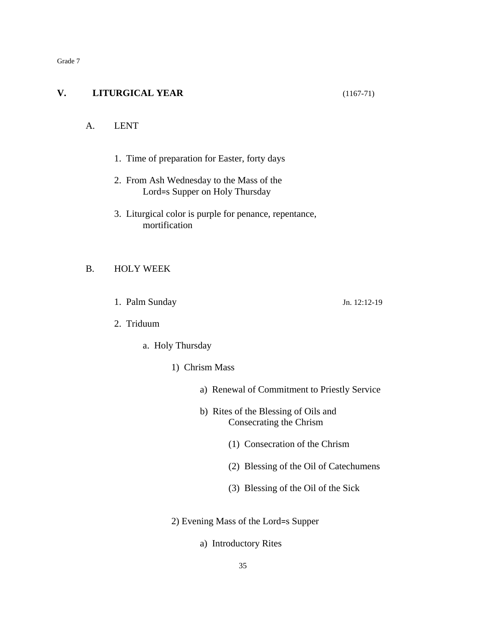#### **V. LITURGICAL YEAR** (1167-71)

#### A. LENT

- 1. Time of preparation for Easter, forty days
- 2. From Ash Wednesday to the Mass of the Lord=s Supper on Holy Thursday
- 3. Liturgical color is purple for penance, repentance, mortification

#### B. HOLY WEEK

1. Palm Sunday Jn. 12:12-19

- 2. Triduum
	- a. Holy Thursday
		- 1) Chrism Mass
			- a) Renewal of Commitment to Priestly Service
			- b) Rites of the Blessing of Oils and Consecrating the Chrism
				- (1) Consecration of the Chrism
				- (2) Blessing of the Oil of Catechumens
				- (3) Blessing of the Oil of the Sick
		- 2) Evening Mass of the Lord=s Supper
			- a) Introductory Rites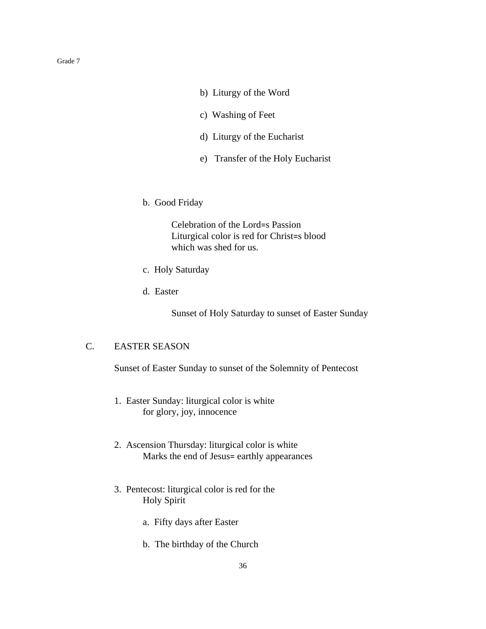- b) Liturgy of the Word
- c) Washing of Feet
- d) Liturgy of the Eucharist
- e) Transfer of the Holy Eucharist
- b. Good Friday

Celebration of the Lord=s Passion Liturgical color is red for Christ=s blood which was shed for us.

- c. Holy Saturday
- d. Easter

Sunset of Holy Saturday to sunset of Easter Sunday

#### C. EASTER SEASON

Sunset of Easter Sunday to sunset of the Solemnity of Pentecost

- 1. Easter Sunday: liturgical color is white for glory, joy, innocence
- 2. Ascension Thursday: liturgical color is white Marks the end of Jesus= earthly appearances
- 3. Pentecost: liturgical color is red for the Holy Spirit
	- a. Fifty days after Easter
	- b. The birthday of the Church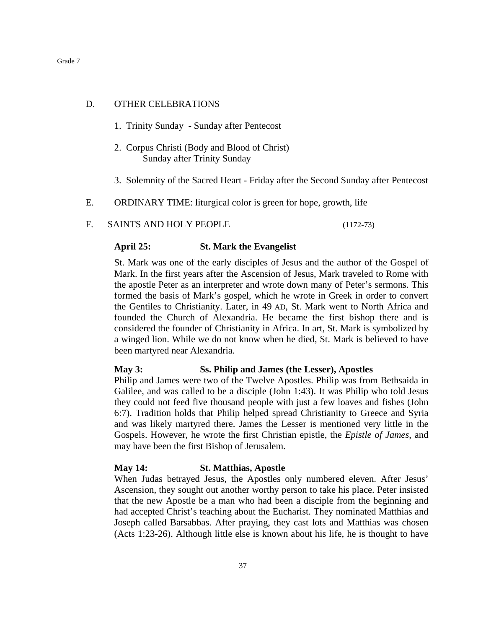#### D. OTHER CELEBRATIONS

- 1. Trinity Sunday Sunday after Pentecost
- 2. Corpus Christi (Body and Blood of Christ) Sunday after Trinity Sunday
- 3. Solemnity of the Sacred Heart Friday after the Second Sunday after Pentecost
- E. ORDINARY TIME: liturgical color is green for hope, growth, life

#### F. SAINTS AND HOLY PEOPLE (1172-73)

#### **April 25: St. Mark the Evangelist**

St. Mark was one of the early disciples of Jesus and the author of the Gospel of Mark. In the first years after the Ascension of Jesus, Mark traveled to Rome with the apostle Peter as an interpreter and wrote down many of Peter's sermons. This formed the basis of Mark's gospel, which he wrote in Greek in order to convert the Gentiles to Christianity. Later, in 49 AD, St. Mark went to North Africa and founded the Church of Alexandria. He became the first bishop there and is considered the founder of Christianity in Africa. In art, St. Mark is symbolized by a winged lion. While we do not know when he died, St. Mark is believed to have been martyred near Alexandria.

#### **May 3: Ss. Philip and James (the Lesser), Apostles**

Philip and James were two of the Twelve Apostles. Philip was from Bethsaida in Galilee, and was called to be a disciple (John 1:43). It was Philip who told Jesus they could not feed five thousand people with just a few loaves and fishes (John 6:7). Tradition holds that Philip helped spread Christianity to Greece and Syria and was likely martyred there. James the Lesser is mentioned very little in the Gospels. However, he wrote the first Christian epistle, the *Epistle of James*, and may have been the first Bishop of Jerusalem.

#### **May 14: St. Matthias, Apostle**

When Judas betrayed Jesus, the Apostles only numbered eleven. After Jesus' Ascension, they sought out another worthy person to take his place. Peter insisted that the new Apostle be a man who had been a disciple from the beginning and had accepted Christ's teaching about the Eucharist. They nominated Matthias and Joseph called Barsabbas. After praying, they cast lots and Matthias was chosen (Acts 1:23-26). Although little else is known about his life, he is thought to have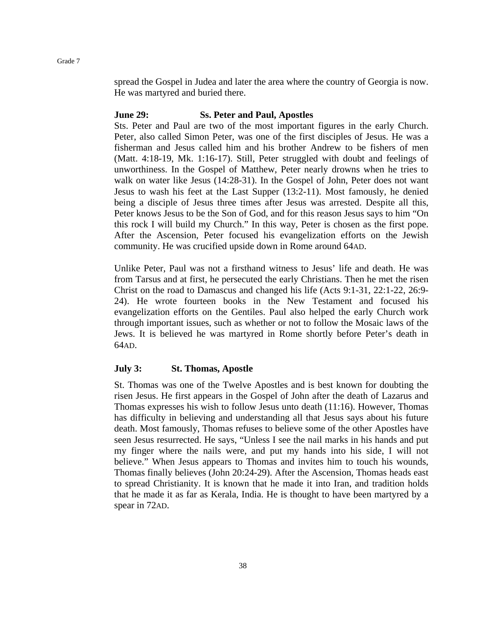spread the Gospel in Judea and later the area where the country of Georgia is now. He was martyred and buried there.

#### **June 29: Ss. Peter and Paul, Apostles**

Sts. Peter and Paul are two of the most important figures in the early Church. Peter, also called Simon Peter, was one of the first disciples of Jesus. He was a fisherman and Jesus called him and his brother Andrew to be fishers of men (Matt. 4:18-19, Mk. 1:16-17). Still, Peter struggled with doubt and feelings of unworthiness. In the Gospel of Matthew, Peter nearly drowns when he tries to walk on water like Jesus (14:28-31). In the Gospel of John, Peter does not want Jesus to wash his feet at the Last Supper (13:2-11). Most famously, he denied being a disciple of Jesus three times after Jesus was arrested. Despite all this, Peter knows Jesus to be the Son of God, and for this reason Jesus says to him "On this rock I will build my Church." In this way, Peter is chosen as the first pope. After the Ascension, Peter focused his evangelization efforts on the Jewish community. He was crucified upside down in Rome around 64AD.

Unlike Peter, Paul was not a firsthand witness to Jesus' life and death. He was from Tarsus and at first, he persecuted the early Christians. Then he met the risen Christ on the road to Damascus and changed his life (Acts 9:1-31, 22:1-22, 26:9- 24). He wrote fourteen books in the New Testament and focused his evangelization efforts on the Gentiles. Paul also helped the early Church work through important issues, such as whether or not to follow the Mosaic laws of the Jews. It is believed he was martyred in Rome shortly before Peter's death in 64AD.

#### **July 3: St. Thomas, Apostle**

St. Thomas was one of the Twelve Apostles and is best known for doubting the risen Jesus. He first appears in the Gospel of John after the death of Lazarus and Thomas expresses his wish to follow Jesus unto death (11:16). However, Thomas has difficulty in believing and understanding all that Jesus says about his future death. Most famously, Thomas refuses to believe some of the other Apostles have seen Jesus resurrected. He says, "Unless I see the nail marks in his hands and put my finger where the nails were, and put my hands into his side, I will not believe." When Jesus appears to Thomas and invites him to touch his wounds, Thomas finally believes (John 20:24-29). After the Ascension, Thomas heads east to spread Christianity. It is known that he made it into Iran, and tradition holds that he made it as far as Kerala, India. He is thought to have been martyred by a spear in 72AD.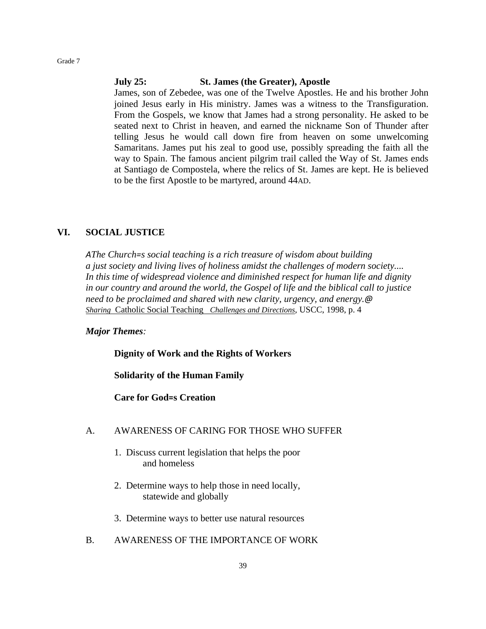#### **July 25: St. James (the Greater), Apostle**

James, son of Zebedee, was one of the Twelve Apostles. He and his brother John joined Jesus early in His ministry. James was a witness to the Transfiguration. From the Gospels, we know that James had a strong personality. He asked to be seated next to Christ in heaven, and earned the nickname Son of Thunder after telling Jesus he would call down fire from heaven on some unwelcoming Samaritans. James put his zeal to good use, possibly spreading the faith all the way to Spain. The famous ancient pilgrim trail called the Way of St. James ends at Santiago de Compostela, where the relics of St. James are kept. He is believed to be the first Apostle to be martyred, around 44AD.

#### **VI. SOCIAL JUSTICE**

*AThe Church=s social teaching is a rich treasure of wisdom about building a just society and living lives of holiness amidst the challenges of modern society.... In this time of widespread violence and diminished respect for human life and dignity in our country and around the world, the Gospel of life and the biblical call to justice need to be proclaimed and shared with new clarity, urgency, and energy.@ Sharing* Catholic Social Teaching *Challenges and Directions,* USCC, 1998, p. 4

#### *Major Themes:*

**Dignity of Work and the Rights of Workers**

**Solidarity of the Human Family**

**Care for God=s Creation**

#### A. AWARENESS OF CARING FOR THOSE WHO SUFFER

- 1. Discuss current legislation that helps the poor and homeless
- 2. Determine ways to help those in need locally, statewide and globally
- 3. Determine ways to better use natural resources
- B. AWARENESS OF THE IMPORTANCE OF WORK